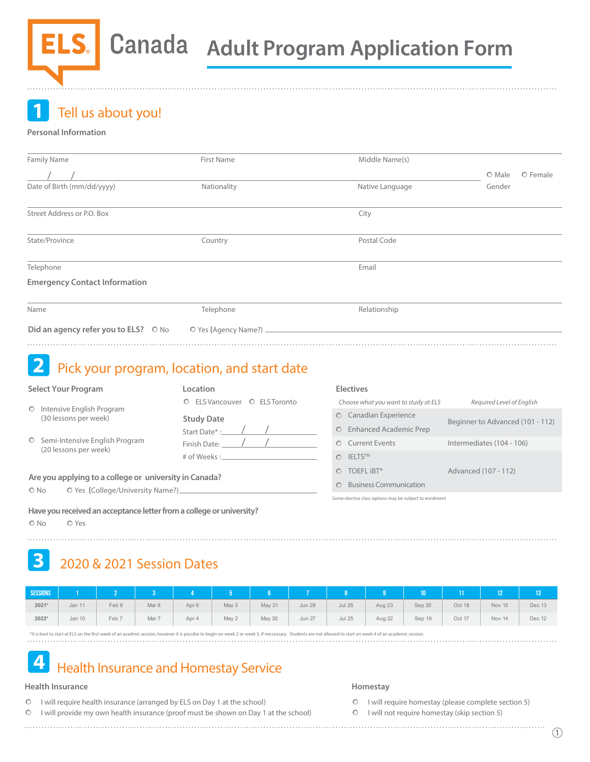**1** Tell us about you!

# **Personal Information**

| Family Name                          | <b>First Name</b>      | Middle Name(s)  |                    |
|--------------------------------------|------------------------|-----------------|--------------------|
|                                      |                        |                 | O Female<br>O Male |
| Date of Birth (mm/dd/yyyy)           | Nationality            | Native Language | Gender             |
| Street Address or P.O. Box           |                        | City            |                    |
| State/Province                       | Country                | Postal Code     |                    |
| Telephone                            |                        | Email           |                    |
| <b>Emergency Contact Information</b> |                        |                 |                    |
| Name                                 | Telephone              | Relationship    |                    |
| Did an agency refer you to ELS? ○ No | O Yes (Agency Name?) _ |                 |                    |
|                                      |                        |                 |                    |

# 2 Pick your program, location, and start date

## **Select Your Program**

- O Intensive English Program (30 lessons per week)
- O Semi-Intensive English Program (20 lessons per week)

| Location                                                          |  |
|-------------------------------------------------------------------|--|
| O FLS Vancouver O FLS Toronto                                     |  |
| <b>Study Date</b><br>Start Date*:<br>Finish Date:<br># of Weeks · |  |
|                                                                   |  |

# **Are you applying to a college or university in Canada?**

O No O Yes (College/University Name?)\_

**Have you received an acceptance letter from a college or university?** 

O No O Yes

Canadian Experience Enhanced Academic Prep Current Events O IELTS<sup>TM</sup> O TOEFL **iBT®** Business Communication *Choose what you want to study at ELS* Some elective class options may be subject to enrolment *Required Level of English* Advanced (107 - 112) Beginner to Advanced (101 - 112) Intermediates (104 - 106)

# **3** 2020 & 2021 Session Dates

| <b>SESSIONS</b> |        |       |       |       |       |        |               |               |        | MO \   |        |        |        |
|-----------------|--------|-------|-------|-------|-------|--------|---------------|---------------|--------|--------|--------|--------|--------|
| $2021*$         | Jan 11 | Feb 8 | Mar 8 | Apr 6 | May 3 | May 31 | <b>Jun 28</b> | <b>Jul 26</b> | Aug 23 | Sep 20 | Oct 18 | Nov 15 | Dec 13 |
| 2022*           | Jan 10 | Feb 7 | Mar 7 | Apr 4 | May 2 | May 30 | Jun 27        | <b>Jul 25</b> | Aug 22 | Sep 19 | Oct 17 | Nov 14 | Dec 12 |

\*It is best to start at ELS on the first week of an acadmic session, however it is possibe to begin on week 2 or week 3, if neccessary. Students are not allowed to start on week 4 of an academic session.

# **4** Health Insurance and Homestay Service

# **Health Insurance**

- $\circ$ I will require health insurance (arranged by ELS on Day 1 at the school)
- $\circ$ I will provide my own health insurance (proof must be shown on Day 1 at the school)

# **Homestay**

**Electives**

O I will require homestay (please complete section 5)

O I will not require homestay (skip section 5)

. . . . . . . . . . . . . . . . . .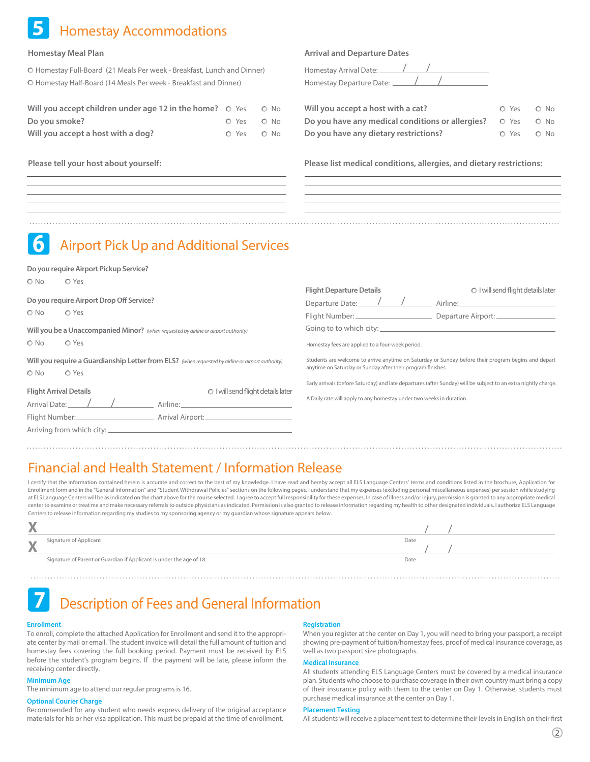# **5** Homestay Accommodations

# **Homestay Meal Plan**

Homestay Full-Board (21 Meals Per week - Breakfast, Lunch and Dinner) Homestay Half-Board (14 Meals Per week - Breakfast and Dinner)

| Will you accept children under age 12 in the home? $\circ$ Yes | O No       |
|----------------------------------------------------------------|------------|
| Do you smoke?                                                  | O Yes O No |
| Will you accept a host with a dog?                             | O Yes O No |

**Do you require Airport Pickup Service?**

# **Arrival and Departure Dates**

Homestay Arrival Date: <u>Vanchy / Vie</u> Homestay Departure Date: / /

| Will you accept a host with a cat?                                      | O Yes O No |
|-------------------------------------------------------------------------|------------|
| Do you have any medical conditions or allergies? $\circ$ Yes $\circ$ No |            |
| Do you have any dietary restrictions?                                   | O Yes O No |

**Please tell your host about yourself: Please list medical conditions, allergies, and dietary restrictions:**

# **6** Airport Pick Up and Additional Services

| $\bigcirc$ No<br>O Yes                                                                       |                                                                                                                                                                                                                                                                          | <b>Flight Departure Details</b>                                                                                                                                    | O I will send flight details later                                                                              |  |  |  |  |
|----------------------------------------------------------------------------------------------|--------------------------------------------------------------------------------------------------------------------------------------------------------------------------------------------------------------------------------------------------------------------------|--------------------------------------------------------------------------------------------------------------------------------------------------------------------|-----------------------------------------------------------------------------------------------------------------|--|--|--|--|
| Do you require Airport Drop Off Service?<br>$\circ$ No<br>O Yes                              |                                                                                                                                                                                                                                                                          | Departure Date: 1 /<br>Flight Number: ________________________                                                                                                     | Airline: Airline and the state of the state of the state of the state of the state of the state of the state o  |  |  |  |  |
| Will you be a Unaccompanied Minor? (when requested by airline or airport authority)          |                                                                                                                                                                                                                                                                          |                                                                                                                                                                    |                                                                                                                 |  |  |  |  |
| $\circ$ No<br>O Yes                                                                          |                                                                                                                                                                                                                                                                          | Homestay fees are applied to a four-week period.                                                                                                                   |                                                                                                                 |  |  |  |  |
| $\circ$ No<br>$O$ Yes                                                                        | Will you require a Guardianship Letter from ELS? (when requested by airline or airport authority)                                                                                                                                                                        | Students are welcome to arrive anytime on Saturday or Sunday before their program begins and depart<br>anytime on Saturday or Sunday after their program finishes. |                                                                                                                 |  |  |  |  |
| <b>Flight Arrival Details</b><br>Arrival Date: ////<br>Flight Number:_______________________ | O I will send flight details later<br>Airline: <u>Airline</u> and the state of the state of the state of the state of the state of the state of the state of the state of the state of the state of the state of the state of the state of the state of the state of the | A Daily rate will apply to any homestay under two weeks in duration.                                                                                               | Early arrivals (before Saturday) and late departures (after Sunday) will be subject to an extra nightly charge. |  |  |  |  |

# Financial and Health Statement / Information Release

I certify that the information contained herein is accurate and correct to the best of my knowledge. I have read and hereby accept all ELS Language Centers' terms and conditions listed in the brochure, Application for Enrollment form and in the "General Information" and "Student Withdrawal Policies" sections on the following pages. I understand that my expenses (excluding personal miscellaneous expenses) per session while studying at ELS Language Centers will be as indicated on the chart above for the course selected. I agree to accept full responsibility for these expenses. In case of illness and/or injury, permission is granted to any appropriate center to examine or treat me and make necessary referrals to outside physicians as indicated. Permission is also granted to release information regarding my health to other designated individuals. I authorize ELS Language Centers to release information regarding my studies to my sponsoring agency or my guardian whose signature appears below.

| W<br>r       |                                                                     |      |  |
|--------------|---------------------------------------------------------------------|------|--|
| $\mathbf{W}$ | Signature of Applicant                                              | Date |  |
| r            |                                                                     |      |  |
|              | Signature of Parent or Guardian if Applicant is under the age of 18 | Date |  |

# **7** Description of Fees and General Information

### **Enrollment**

To enroll, complete the attached Application for Enrollment and send it to the appropriate center by mail or email. The student invoice will detail the full amount of tuition and homestay fees covering the full booking period. Payment must be received by ELS before the student's program begins. If the payment will be late, please inform the receiving center directly.

# **Minimum Age**

The minimum age to attend our regular programs is 16.

#### **Optional Courier Charge**

Recommended for any student who needs express delivery of the original acceptance materials for his or her visa application. This must be prepaid at the time of enrollment.

### **Registration**

When you register at the center on Day 1, you will need to bring your passport, a receipt showing pre-payment of tuition/homestay fees, proof of medical insurance coverage, as well as two passport size photographs.

# **Medical Insurance**

All students attending ELS Language Centers must be covered by a medical insurance plan. Students who choose to purchase coverage in their own country must bring a copy of their insurance policy with them to the center on Day 1. Otherwise, students must purchase medical insurance at the center on Day 1.

#### **Placement Testing**

All students will receive a placement test to determine their levels in English on their first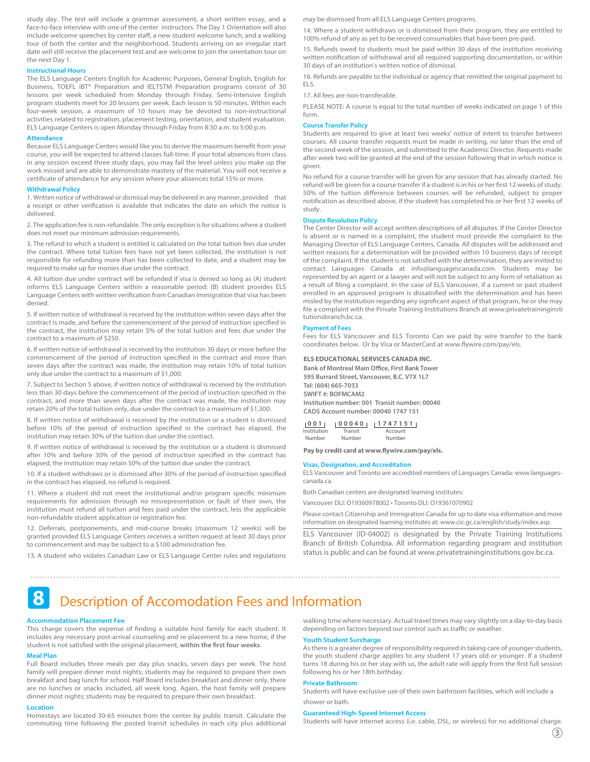study day. The test will include a grammar assessment, a short written essay, and a face-to-face interview with one of the center instructors. The Day 1 Orientation will also include welcome speeches by center staff, a new student welcome lunch, and a walking tour of both the center and the neighborhood. Students arriving on an irregular start date will still receive the placement test and are welcome to join the orientation tour on the next Day 1.

#### **Instructional Hours**

The ELS Language Centers English for Academic Purposes, General English, English for Business, TOEFL iBT® Preparation and IELTSTM Preparation programs consist of 30 lessons per week scheduled from Monday through Friday. Semi-Intensive English program students meet for 20 lessons per week. Each lesson is 50 minutes. Within each four-week session, a maximum of 10 hours may be devoted to non-instructional activities related to registration, placement testing, orientation, and student evaluation. ELS Language Centers is open Monday through Friday from 8:30 a.m. to 5:00 p.m.

### **Attendance**

Because ELS Language Centers would like you to derive the maximum benefit from your course, you will be expected to attend classes full-time. If your total absences from class in any session exceed three study days, you may fail the level unless you make up the work missed and are able to demonstrate mastery of the material. You will not receive a certificate of attendance for any session where your absences total 15% or more.

# **Withdrawal Policy**

1. Written notice of withdrawal or dismissal may be delivered in any manner, provided that a receipt or other verification is available that indicates the date on which the notice is delivered.

2. The application fee is non-refundable. The only exception is for situations where a student does not meet our minimum admission requirements.

3. The refund to which a student is entitled is calculated on the total tuition fees due under the contract. Where total tuition fees have not yet been collected, the institution is not responsible for refunding more than has been collected to date, and a student may be required to make up for monies due under the contract.

4. All tuition due under contract will be refunded if visa is denied so long as (A) student informs ELS Language Centers within a reasonable period; (B) student provides ELS Language Centers with written verification from Canadian Immigration that visa has been denied.

5. If written notice of withdrawal is received by the institution within seven days after the contract is made, and before the commencement of the period of instruction specified in the contract, the institution may retain 5% of the total tuition and fees due under the contract to a maximum of \$250.

6. If written notice of withdrawal is received by the institution 30 days or more before the commencement of the period of instruction specified in the contract and more than seven days after the contract was made, the institution may retain 10% of total tuition only due under the contract to a maximum of \$1,000.

7. Subject to Section 5 above, if written notice of withdrawal is received by the institution less than 30 days before the commencement of the period of instruction specified in the contract, and more than seven days after the contract was made, the institution may retain 20% of the total tuition only, due under the contract to a maximum of \$1,300.

8. If written notice of withdrawal is received by the institution or a student is dismissed before 10% of the period of instruction specified in the contract has elapsed, the institution may retain 30% of the tuition due under the contract.

9. If written notice of withdrawal is received by the institution or a student is dismissed after 10% and before 30% of the period of instruction specified in the contract has elapsed, the institution may retain 50% of the tuition due under the contract.

10. If a student withdraws or is dismissed after 30% of the period of instruction specified in the contract has elapsed, no refund is required.

11. Where a student did not meet the institutional and/or program specific minimum requirements for admission through no misrepresentation or fault of their own, the institution must refund all tuition and fees paid under the contract, less the applicable non-refundable student application or registration fee.

12. Deferrals, postponements, and mid-course breaks (maximum 12 weeks) will be granted provided ELS Language Centers receives a written request at least 30 days prior to commencement and may be subject to a \$100 administration fee.

13. A student who violates Canadian Law or ELS Language Center rules and regulations

may be dismissed from all ELS Language Centers programs.

14. Where a student withdraws or is dismissed from their program, they are entitled to 100% refund of any as yet to be received consumables that have been pre-paid.

15. Refunds owed to students must be paid within 30 days of the institution receiving written notification of withdrawal and all required supporting documentation, or within 30 days of an institution's written notice of dismissal.

16. Refunds are payable to the individual or agency that remitted the original payment to ELS.

17. All fees are non-transferable.

PLEASE NOTE: A course is equal to the total number of weeks indicated on page 1 of this form.

# **Course Transfer Policy**

Students are required to give at least two weeks' notice of intent to transfer between courses. All course transfer requests must be made in writing, no later than the end of the second week of the session, and submitted to the Academic Director. Requests made after week two will be granted at the end of the session following that in which notice is given.

No refund for a course transfer will be given for any session that has already started. No refund will be given for a course transfer if a student is in his or her first 12 weeks of study. 50% of the tuition difference between courses will be refunded, subject to proper notification as described above, if the student has completed his or her first 12 weeks of study.

#### **Dispute Resolution Policy**

The Center Director will accept written descriptions of all disputes. If the Center Director is absent or is named in a complaint, the student must provide the complaint to the Managing Director of ELS Language Centers, Canada. All disputes will be addressed and written reasons for a determination will be provided within 10 business days of receipt of the complaint. If the student is not satisfied with the determination, they are invited to contact Languages Canada at info@languagescanada.com. Students may be represented by an agent or a lawyer and will not be subject to any form of retaliation as a result of filing a complaint. In the case of ELS Vancouver, if a current or past student enrolled in an approved program is dissatisfied with the determination and has been misled by the institution regarding any significant aspect of that program, he or she may file a complaint with the Private Training Institutions Branch at www.privatetraininginsti tutionsbranch.bc.ca.

#### **Payment of Fees**

Fees for ELS Vancouver and ELS Toronto Can we paid by wire transfer to the bank coordinates below. Or by Visa or MasterCard at www.flywire.com/pay/els.

### **ELS EDUCATIONAL SERVICES CANADA INC.**

**Bank of Montreal Main Office, First Bank Tower 595 Burrard Street, Vancouver, B.C. V7X 1L7 Tel: (604) 665-7033 SWIFT #: BOFMCAM2 Institution number: 001 Transit number: 00040 CAD\$ Account number: 00040 1747 151**

#### **0 0 1 0004 0 174715 1**

| Institution | Transit | Account |  |
|-------------|---------|---------|--|
| Number      | Number  | Number  |  |

Pay by credit card at www.flywire.com/pay/els.

#### **Visas, Designation, and Accreditation**

ELS Vancouver and Toronto are accredited members of Languages Canada: www.languagescanada.ca.

Both Canadian centers are designated learning institutes:

Vancouver DLI: O19360978002 • Toronto DLI: O19361070902

Please contact Citizenship and Immigration Canada for up to date visa information and more information on designated learning institutes at: www.cic.gc.ca/english/study/index.asp.

ELS Vancouver (ID-04002) is designated by the Private Training Institutions Branch of British Columbia. All information regarding program and institution status is public and can be found at www.privatetraininginstitutions.gov.bc.ca.

# **8** Description of Accomodation Fees and Information

#### **Accommodation Placement Fee**

This charge covers the expense of finding a suitable host family for each student. It includes any necessary post-arrival counseling and re-placement to a new home, if the student is not satisfied with the original placement, within the first four weeks.

# **Meal Plan**

Full Board includes three meals per day plus snacks, seven days per week. The host family will prepare dinner most nights; students may be required to prepare their own breakfast and bag lunch for school. Half Board includes breakfast and dinner only, there are no lunches or snacks included, all week long. Again, the host family will prepare dinner most nights; students may be required to prepare their own breakfast.

#### **Location**

Homestays are located 30-65 minutes from the center by public transit. Calculate the commuting time following the posted transit schedules in each city plus additional walking time where necessary. Actual travel times may vary slightly on a day-to-day basis depending on factors beyond our control such as traffic or weather.

### **Youth Student Surcharge**

As there is a greater degree of responsibility required in taking care of younger students, the youth student charge applies to any student 17 years old or younger. If a student turns 18 during his or her stay with us, the adult rate will apply from the first full session following his or her 18th birthday.

### **Private Bathroom**

Students will have exclusive use of their own bathroom facilities, which will include a shower or bath.

#### **Guaranteed High-Speed Internet Access**

Students will have internet access (i.e. cable, DSL, or wireless) for no additional charge.